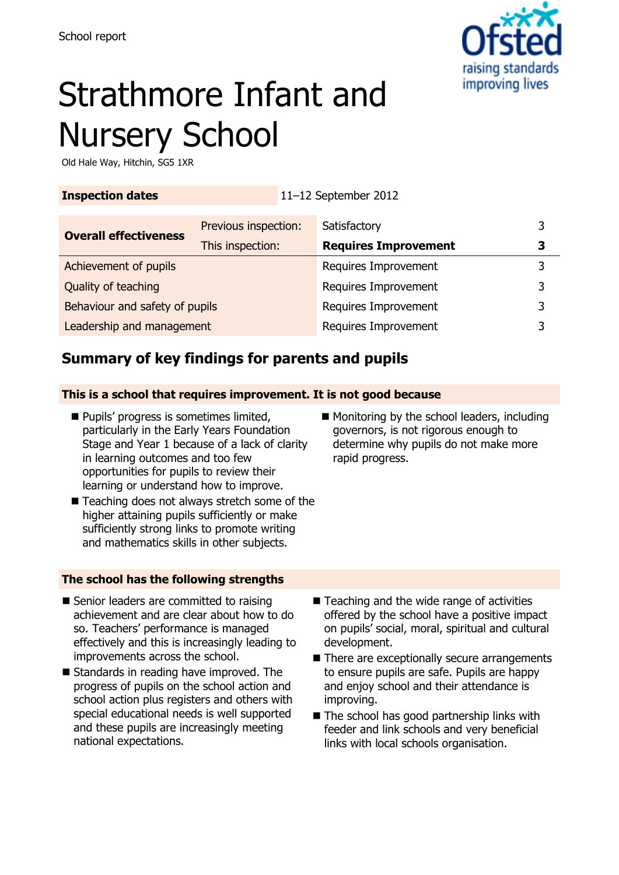

# Strathmore Infant and Nursery School

Old Hale Way, Hitchin, SG5 1XR

| <b>Inspection dates</b> | 11-12 September 2012 |
|-------------------------|----------------------|
|                         |                      |

| <b>Overall effectiveness</b>   | Previous inspection: | Satisfactory                |   |
|--------------------------------|----------------------|-----------------------------|---|
|                                | This inspection:     | <b>Requires Improvement</b> | 3 |
| Achievement of pupils          |                      | Requires Improvement        |   |
| Quality of teaching            |                      | Requires Improvement        |   |
| Behaviour and safety of pupils |                      | Requires Improvement        |   |
| Leadership and management      |                      | Requires Improvement        |   |

# **Summary of key findings for parents and pupils**

#### **This is a school that requires improvement. It is not good because**

- **Pupils' progress is sometimes limited.** particularly in the Early Years Foundation Stage and Year 1 because of a lack of clarity in learning outcomes and too few opportunities for pupils to review their learning or understand how to improve.
- Monitoring by the school leaders, including governors, is not rigorous enough to determine why pupils do not make more rapid progress.
- Teaching does not always stretch some of the higher attaining pupils sufficiently or make sufficiently strong links to promote writing and mathematics skills in other subjects.

#### **The school has the following strengths**

- Senior leaders are committed to raising achievement and are clear about how to do so. Teachers' performance is managed effectively and this is increasingly leading to improvements across the school.
- Standards in reading have improved. The progress of pupils on the school action and school action plus registers and others with special educational needs is well supported and these pupils are increasingly meeting national expectations.
- Teaching and the wide range of activities offered by the school have a positive impact on pupils' social, moral, spiritual and cultural development.
- There are exceptionally secure arrangements to ensure pupils are safe. Pupils are happy and enjoy school and their attendance is improving.
- The school has good partnership links with feeder and link schools and very beneficial links with local schools organisation.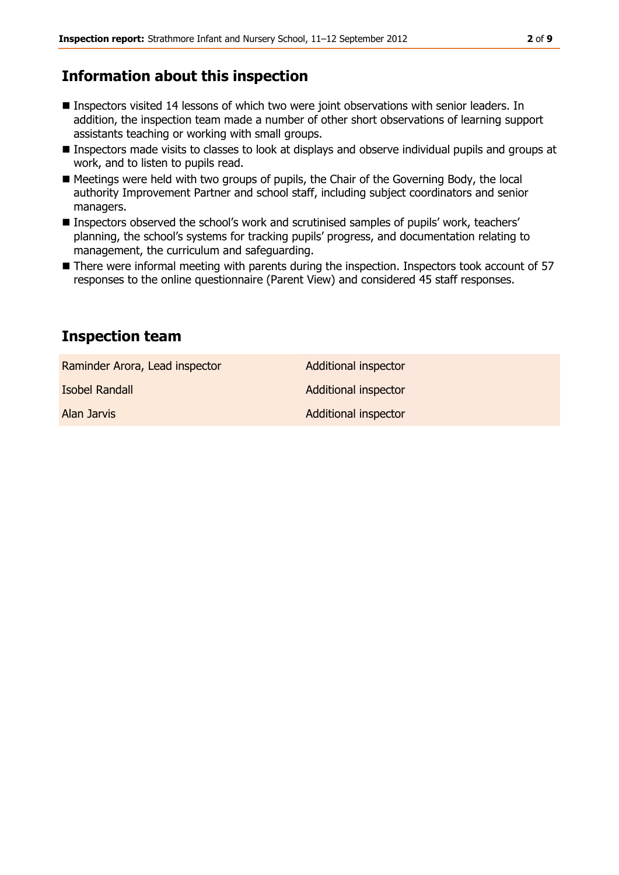## **Information about this inspection**

- Inspectors visited 14 lessons of which two were joint observations with senior leaders. In addition, the inspection team made a number of other short observations of learning support assistants teaching or working with small groups.
- **Inspectors made visits to classes to look at displays and observe individual pupils and groups at** work, and to listen to pupils read.
- Meetings were held with two groups of pupils, the Chair of the Governing Body, the local authority Improvement Partner and school staff, including subject coordinators and senior managers.
- Inspectors observed the school's work and scrutinised samples of pupils' work, teachers' planning, the school's systems for tracking pupils' progress, and documentation relating to management, the curriculum and safeguarding.
- There were informal meeting with parents during the inspection. Inspectors took account of 57 responses to the online questionnaire (Parent View) and considered 45 staff responses.

#### **Inspection team**

Raminder Arora, Lead inspector **Additional inspector** 

Alan Jarvis Additional inspector

**Isobel Randall Additional inspector**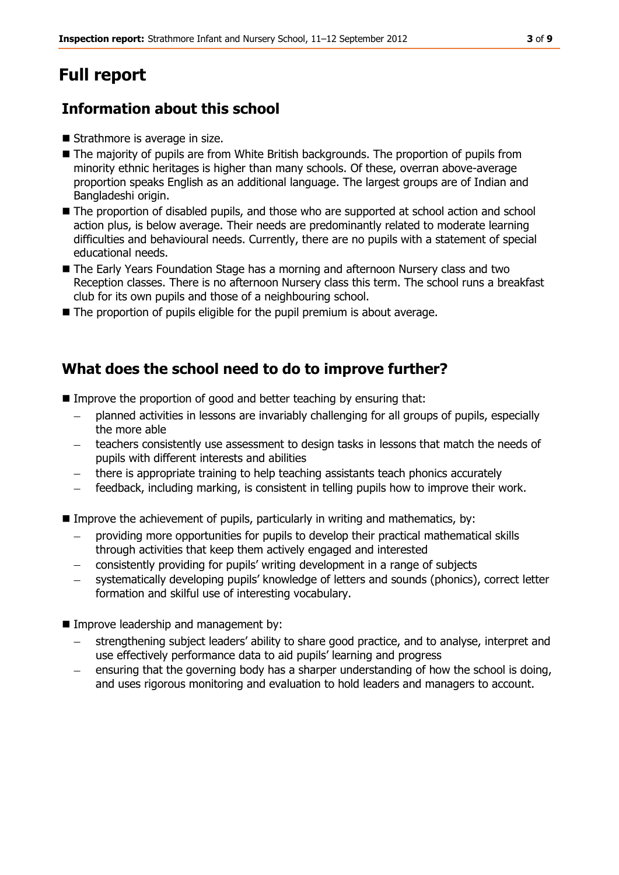# **Full report**

# **Information about this school**

- Strathmore is average in size.
- The majority of pupils are from White British backgrounds. The proportion of pupils from minority ethnic heritages is higher than many schools. Of these, overran above-average proportion speaks English as an additional language. The largest groups are of Indian and Bangladeshi origin.
- The proportion of disabled pupils, and those who are supported at school action and school action plus, is below average. Their needs are predominantly related to moderate learning difficulties and behavioural needs. Currently, there are no pupils with a statement of special educational needs.
- The Early Years Foundation Stage has a morning and afternoon Nursery class and two Reception classes. There is no afternoon Nursery class this term. The school runs a breakfast club for its own pupils and those of a neighbouring school.
- The proportion of pupils eligible for the pupil premium is about average.

#### **What does the school need to do to improve further?**

- Improve the proportion of good and better teaching by ensuring that:
	- planned activities in lessons are invariably challenging for all groups of pupils, especially the more able
	- teachers consistently use assessment to design tasks in lessons that match the needs of pupils with different interests and abilities
	- there is appropriate training to help teaching assistants teach phonics accurately
	- feedback, including marking, is consistent in telling pupils how to improve their work.
- Improve the achievement of pupils, particularly in writing and mathematics, by:
	- providing more opportunities for pupils to develop their practical mathematical skills through activities that keep them actively engaged and interested
	- consistently providing for pupils' writing development in a range of subjects
	- systematically developing pupils' knowledge of letters and sounds (phonics), correct letter formation and skilful use of interesting vocabulary.
- **Improve leadership and management by:** 
	- strengthening subject leaders' ability to share good practice, and to analyse, interpret and use effectively performance data to aid pupils' learning and progress
	- ensuring that the governing body has a sharper understanding of how the school is doing, and uses rigorous monitoring and evaluation to hold leaders and managers to account.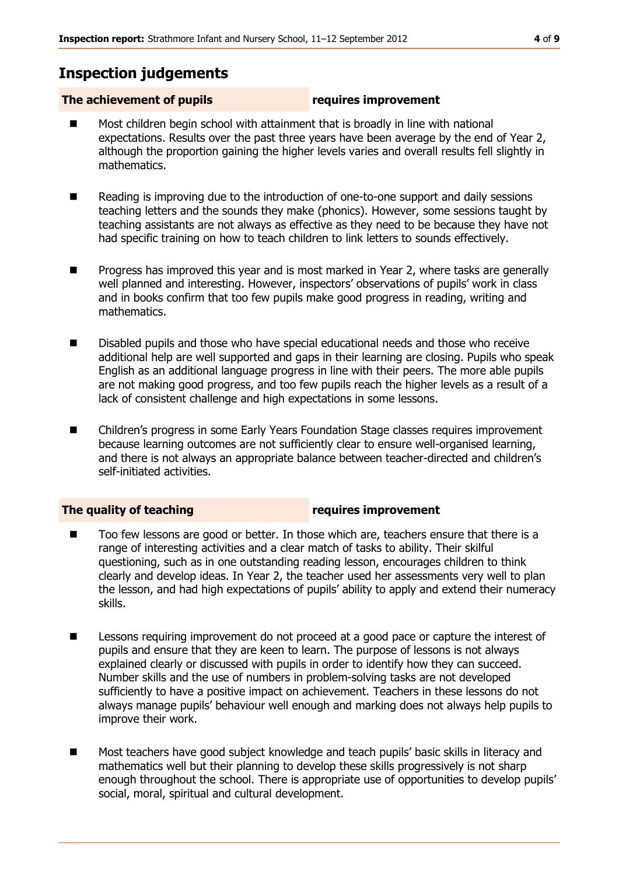## **Inspection judgements**

#### **The achievement of pupils requires improvement**

- Most children begin school with attainment that is broadly in line with national expectations. Results over the past three years have been average by the end of Year 2, although the proportion gaining the higher levels varies and overall results fell slightly in mathematics.
- Reading is improving due to the introduction of one-to-one support and daily sessions teaching letters and the sounds they make (phonics). However, some sessions taught by teaching assistants are not always as effective as they need to be because they have not had specific training on how to teach children to link letters to sounds effectively.
- **Progress has improved this year and is most marked in Year 2, where tasks are generally** well planned and interesting. However, inspectors' observations of pupils' work in class and in books confirm that too few pupils make good progress in reading, writing and mathematics.
- **Disabled pupils and those who have special educational needs and those who receive** additional help are well supported and gaps in their learning are closing. Pupils who speak English as an additional language progress in line with their peers. The more able pupils are not making good progress, and too few pupils reach the higher levels as a result of a lack of consistent challenge and high expectations in some lessons.
- Children's progress in some Early Years Foundation Stage classes requires improvement because learning outcomes are not sufficiently clear to ensure well-organised learning, and there is not always an appropriate balance between teacher-directed and children's self-initiated activities.

**The quality of teaching requires improvement**

- Too few lessons are good or better. In those which are, teachers ensure that there is a range of interesting activities and a clear match of tasks to ability. Their skilful questioning, such as in one outstanding reading lesson, encourages children to think clearly and develop ideas. In Year 2, the teacher used her assessments very well to plan the lesson, and had high expectations of pupils' ability to apply and extend their numeracy skills.
- **EXECT** Lessons requiring improvement do not proceed at a good pace or capture the interest of pupils and ensure that they are keen to learn. The purpose of lessons is not always explained clearly or discussed with pupils in order to identify how they can succeed. Number skills and the use of numbers in problem-solving tasks are not developed sufficiently to have a positive impact on achievement. Teachers in these lessons do not always manage pupils' behaviour well enough and marking does not always help pupils to improve their work.
- Most teachers have good subject knowledge and teach pupils' basic skills in literacy and mathematics well but their planning to develop these skills progressively is not sharp enough throughout the school. There is appropriate use of opportunities to develop pupils' social, moral, spiritual and cultural development.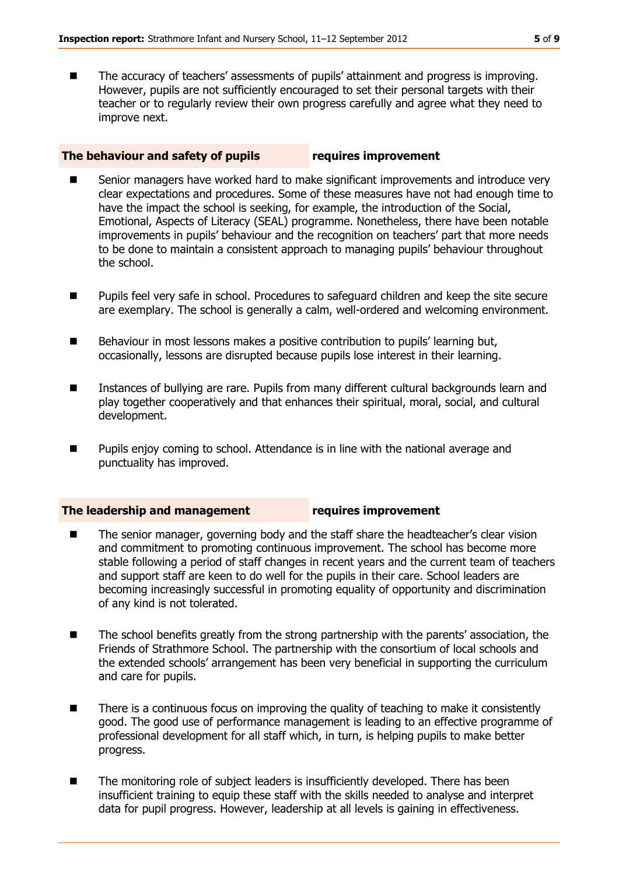■ The accuracy of teachers' assessments of pupils' attainment and progress is improving. However, pupils are not sufficiently encouraged to set their personal targets with their teacher or to regularly review their own progress carefully and agree what they need to improve next.

#### **The behaviour and safety of pupils requires improvement**

- Senior managers have worked hard to make significant improvements and introduce very clear expectations and procedures. Some of these measures have not had enough time to have the impact the school is seeking, for example, the introduction of the Social, Emotional, Aspects of Literacy (SEAL) programme. Nonetheless, there have been notable improvements in pupils' behaviour and the recognition on teachers' part that more needs to be done to maintain a consistent approach to managing pupils' behaviour throughout the school.
- Pupils feel very safe in school. Procedures to safeguard children and keep the site secure are exemplary. The school is generally a calm, well-ordered and welcoming environment.
- Behaviour in most lessons makes a positive contribution to pupils' learning but, occasionally, lessons are disrupted because pupils lose interest in their learning.
- Instances of bullying are rare. Pupils from many different cultural backgrounds learn and play together cooperatively and that enhances their spiritual, moral, social, and cultural development.
- **Pupils enjoy coming to school. Attendance is in line with the national average and** punctuality has improved.

#### **The leadership and management requires improvement**

- The senior manager, governing body and the staff share the headteacher's clear vision and commitment to promoting continuous improvement. The school has become more stable following a period of staff changes in recent years and the current team of teachers and support staff are keen to do well for the pupils in their care. School leaders are becoming increasingly successful in promoting equality of opportunity and discrimination of any kind is not tolerated.
- The school benefits greatly from the strong partnership with the parents' association, the Friends of Strathmore School. The partnership with the consortium of local schools and the extended schools' arrangement has been very beneficial in supporting the curriculum and care for pupils.
- **There is a continuous focus on improving the quality of teaching to make it consistently** good. The good use of performance management is leading to an effective programme of professional development for all staff which, in turn, is helping pupils to make better progress.
- The monitoring role of subject leaders is insufficiently developed. There has been insufficient training to equip these staff with the skills needed to analyse and interpret data for pupil progress. However, leadership at all levels is gaining in effectiveness.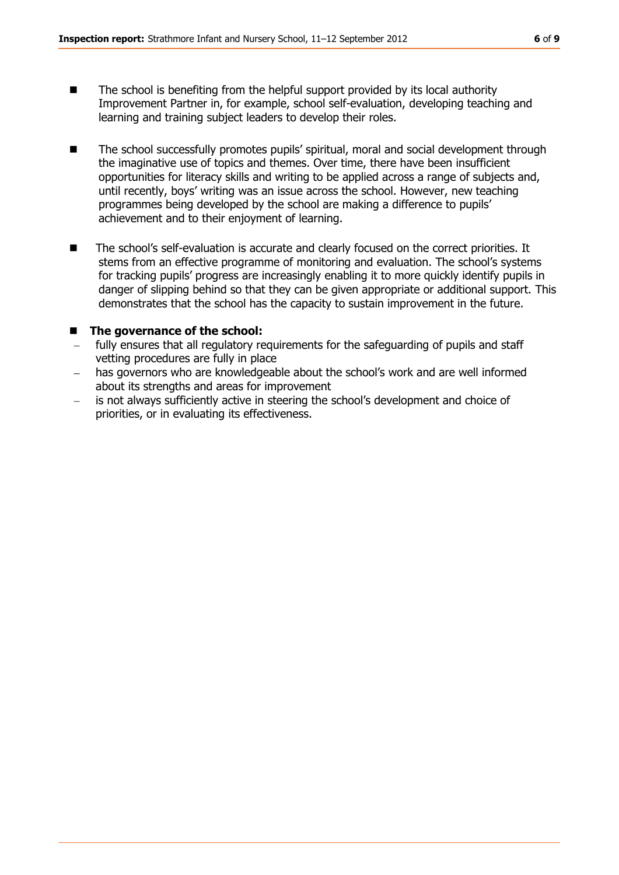- The school is benefiting from the helpful support provided by its local authority Improvement Partner in, for example, school self-evaluation, developing teaching and learning and training subject leaders to develop their roles.
- The school successfully promotes pupils' spiritual, moral and social development through the imaginative use of topics and themes. Over time, there have been insufficient opportunities for literacy skills and writing to be applied across a range of subjects and, until recently, boys' writing was an issue across the school. However, new teaching programmes being developed by the school are making a difference to pupils' achievement and to their enjoyment of learning.
- The school's self-evaluation is accurate and clearly focused on the correct priorities. It stems from an effective programme of monitoring and evaluation. The school's systems for tracking pupils' progress are increasingly enabling it to more quickly identify pupils in danger of slipping behind so that they can be given appropriate or additional support. This demonstrates that the school has the capacity to sustain improvement in the future.

#### ■ The governance of the school:

- fully ensures that all regulatory requirements for the safeguarding of pupils and staff vetting procedures are fully in place
- has governors who are knowledgeable about the school's work and are well informed about its strengths and areas for improvement
- is not always sufficiently active in steering the school's development and choice of priorities, or in evaluating its effectiveness.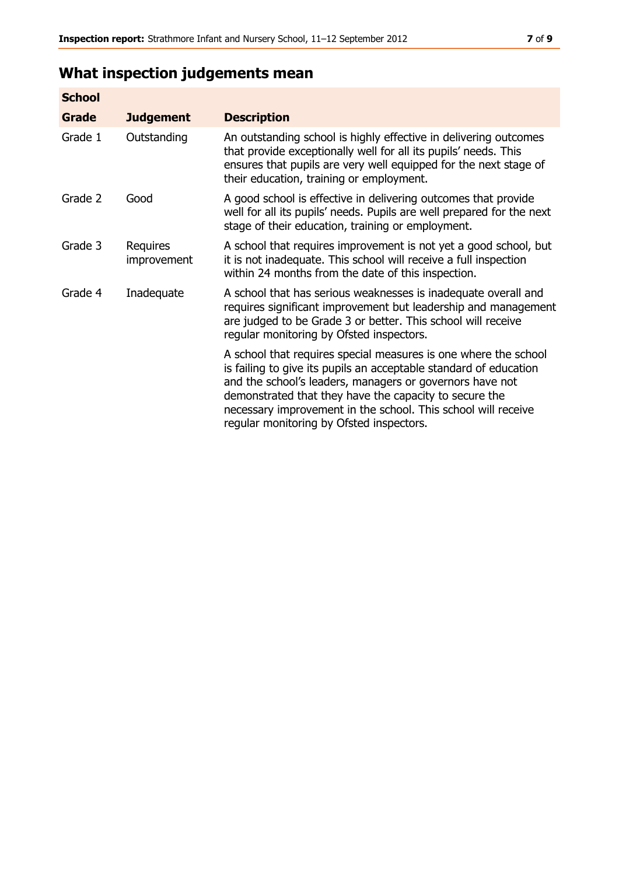# **What inspection judgements mean**

| <b>School</b> |                         |                                                                                                                                                                                                                                                                                                                                                                         |
|---------------|-------------------------|-------------------------------------------------------------------------------------------------------------------------------------------------------------------------------------------------------------------------------------------------------------------------------------------------------------------------------------------------------------------------|
| Grade         | <b>Judgement</b>        | <b>Description</b>                                                                                                                                                                                                                                                                                                                                                      |
| Grade 1       | Outstanding             | An outstanding school is highly effective in delivering outcomes<br>that provide exceptionally well for all its pupils' needs. This<br>ensures that pupils are very well equipped for the next stage of<br>their education, training or employment.                                                                                                                     |
| Grade 2       | Good                    | A good school is effective in delivering outcomes that provide<br>well for all its pupils' needs. Pupils are well prepared for the next<br>stage of their education, training or employment.                                                                                                                                                                            |
| Grade 3       | Requires<br>improvement | A school that requires improvement is not yet a good school, but<br>it is not inadequate. This school will receive a full inspection<br>within 24 months from the date of this inspection.                                                                                                                                                                              |
| Grade 4       | Inadequate              | A school that has serious weaknesses is inadequate overall and<br>requires significant improvement but leadership and management<br>are judged to be Grade 3 or better. This school will receive<br>regular monitoring by Ofsted inspectors.                                                                                                                            |
|               |                         | A school that requires special measures is one where the school<br>is failing to give its pupils an acceptable standard of education<br>and the school's leaders, managers or governors have not<br>demonstrated that they have the capacity to secure the<br>necessary improvement in the school. This school will receive<br>regular monitoring by Ofsted inspectors. |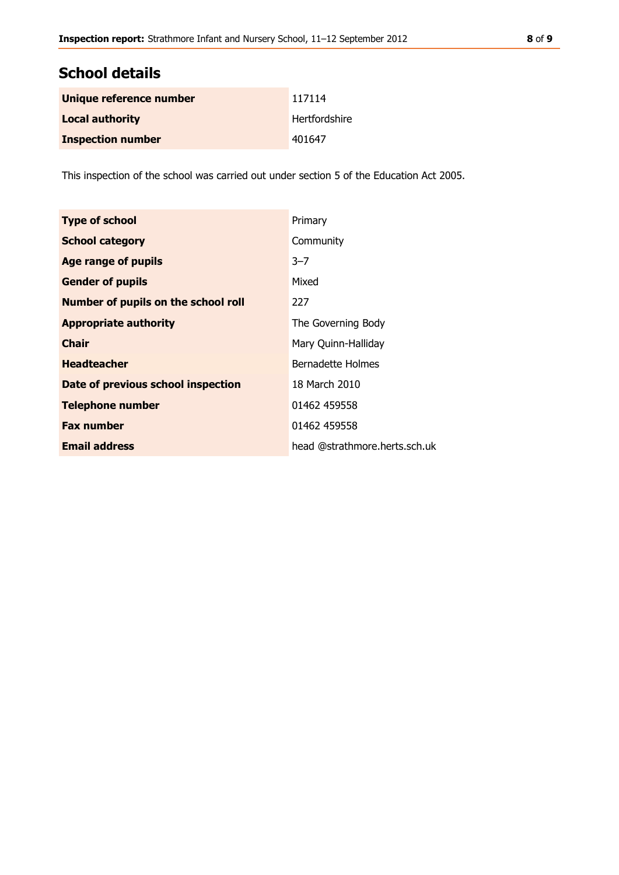# **School details**

| Unique reference number  | 117114        |
|--------------------------|---------------|
| <b>Local authority</b>   | Hertfordshire |
| <b>Inspection number</b> | 401647        |

This inspection of the school was carried out under section 5 of the Education Act 2005.

| <b>Type of school</b>               | Primary                       |
|-------------------------------------|-------------------------------|
| <b>School category</b>              | Community                     |
| <b>Age range of pupils</b>          | $3 - 7$                       |
| <b>Gender of pupils</b>             | Mixed                         |
| Number of pupils on the school roll | 227                           |
| <b>Appropriate authority</b>        | The Governing Body            |
| <b>Chair</b>                        | Mary Quinn-Halliday           |
| <b>Headteacher</b>                  | Bernadette Holmes             |
| Date of previous school inspection  | 18 March 2010                 |
| <b>Telephone number</b>             | 01462 459558                  |
| <b>Fax number</b>                   | 01462 459558                  |
| <b>Email address</b>                | head @strathmore.herts.sch.uk |